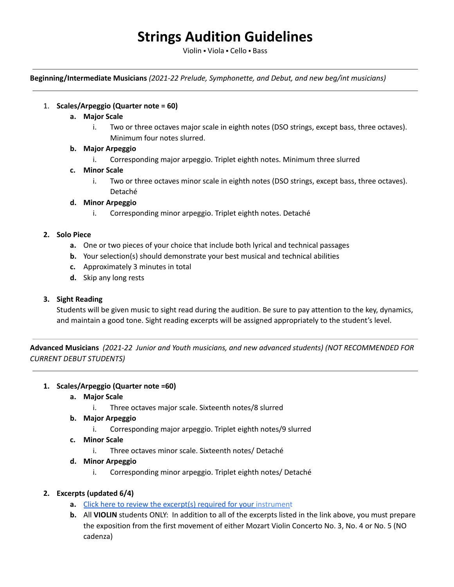# **Strings Audition Guidelines**

Violin ⬝ Viola ⬝ Cello ⬝ Bass

**Beginning/Intermediate Musicians** *(2021-22 Prelude, Symphonette, and Debut, and new beg/int musicians)*

### 1. **Scales/Arpeggio (Quarter note = 60)**

- **a. Major Scale**
	- i. Two or three octaves major scale in eighth notes (DSO strings, except bass, three octaves). Minimum four notes slurred.

### **b. Major Arpeggio**

i. Corresponding major arpeggio. Triplet eighth notes. Minimum three slurred

#### **c. Minor Scale**

i. Two or three octaves minor scale in eighth notes (DSO strings, except bass, three octaves). Detaché

#### **d. Minor Arpeggio**

i. Corresponding minor arpeggio. Triplet eighth notes. Detaché

#### **2. Solo Piece**

- **a.** One or two pieces of your choice that include both lyrical and technical passages
- **b.** Your selection(s) should demonstrate your best musical and technical abilities
- **c.** Approximately 3 minutes in total
- **d.** Skip any long rests

# **3. Sight Reading**

Students will be given music to sight read during the audition. Be sure to pay attention to the key, dynamics, and maintain a good tone. Sight reading excerpts will be assigned appropriately to the student's level.

**Advanced Musicians** *(2021-22 Junior and Youth musicians, and new advanced students) (NOT RECOMMENDED FOR CURRENT DEBUT STUDENTS)*

#### **1. Scales/Arpeggio (Quarter note =60)**

- **a. Major Scale**
	- i. Three octaves major scale. Sixteenth notes/8 slurred
- **b. Major Arpeggio**
	- i. Corresponding major arpeggio. Triplet eighth notes/9 slurred
- **c. Minor Scale**
	- i. Three octaves minor scale. Sixteenth notes/ Detaché
- **d. Minor Arpeggio**
	- i. Corresponding minor arpeggio. Triplet eighth notes/ Detaché

# **2. Excerpts (updated 6/4)**

- **a.** Click here to review the excerpt(s) required for your [instrumen](https://drive.google.com/drive/folders/1cvsj9mh3mMZQDIZ5Ih8U1CNDwNRS_vPX?usp=sharing)t
- **b.** All **VIOLIN** students ONLY: In addition to all of the excerpts listed in the link above, you must prepare the exposition from the first movement of either Mozart Violin Concerto No. 3, No. 4 or No. 5 (NO cadenza)